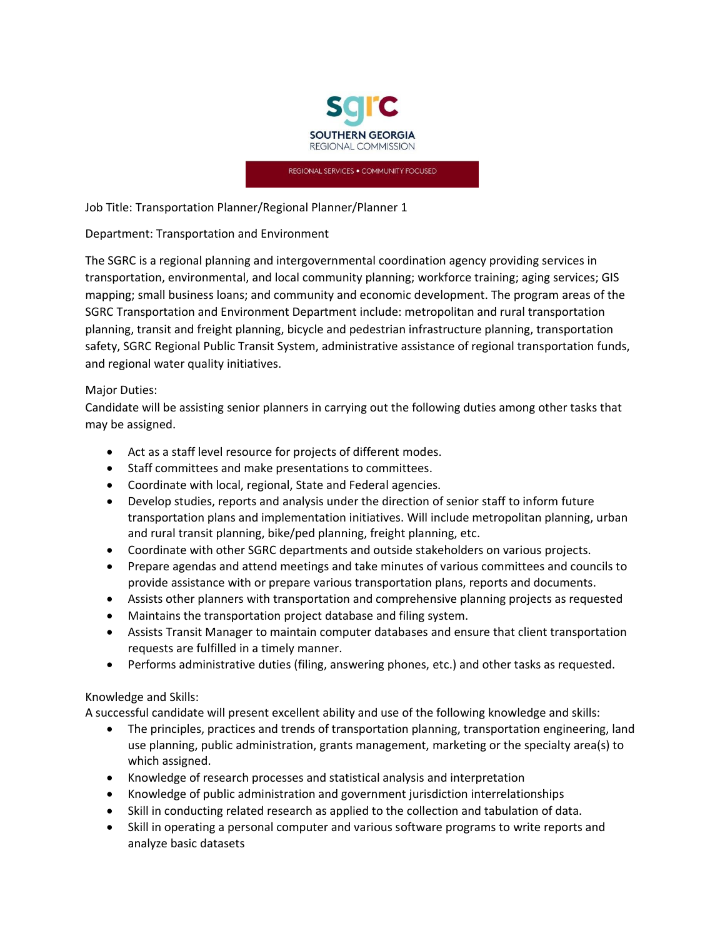

REGIONAL SERVICES . COMMUNITY FOCUSED

Job Title: Transportation Planner/Regional Planner/Planner 1

#### Department: Transportation and Environment

The SGRC is a regional planning and intergovernmental coordination agency providing services in transportation, environmental, and local community planning; workforce training; aging services; GIS mapping; small business loans; and community and economic development. The program areas of the SGRC Transportation and Environment Department include: metropolitan and rural transportation planning, transit and freight planning, bicycle and pedestrian infrastructure planning, transportation safety, SGRC Regional Public Transit System, administrative assistance of regional transportation funds, and regional water quality initiatives.

## Major Duties:

Candidate will be assisting senior planners in carrying out the following duties among other tasks that may be assigned.

- Act as a staff level resource for projects of different modes.
- Staff committees and make presentations to committees.
- Coordinate with local, regional, State and Federal agencies.
- Develop studies, reports and analysis under the direction of senior staff to inform future transportation plans and implementation initiatives. Will include metropolitan planning, urban and rural transit planning, bike/ped planning, freight planning, etc.
- Coordinate with other SGRC departments and outside stakeholders on various projects.
- Prepare agendas and attend meetings and take minutes of various committees and councils to provide assistance with or prepare various transportation plans, reports and documents.
- Assists other planners with transportation and comprehensive planning projects as requested
- Maintains the transportation project database and filing system.
- Assists Transit Manager to maintain computer databases and ensure that client transportation requests are fulfilled in a timely manner.
- Performs administrative duties (filing, answering phones, etc.) and other tasks as requested.

## Knowledge and Skills:

A successful candidate will present excellent ability and use of the following knowledge and skills:

- The principles, practices and trends of transportation planning, transportation engineering, land use planning, public administration, grants management, marketing or the specialty area(s) to which assigned.
- Knowledge of research processes and statistical analysis and interpretation
- Knowledge of public administration and government jurisdiction interrelationships
- Skill in conducting related research as applied to the collection and tabulation of data.
- Skill in operating a personal computer and various software programs to write reports and analyze basic datasets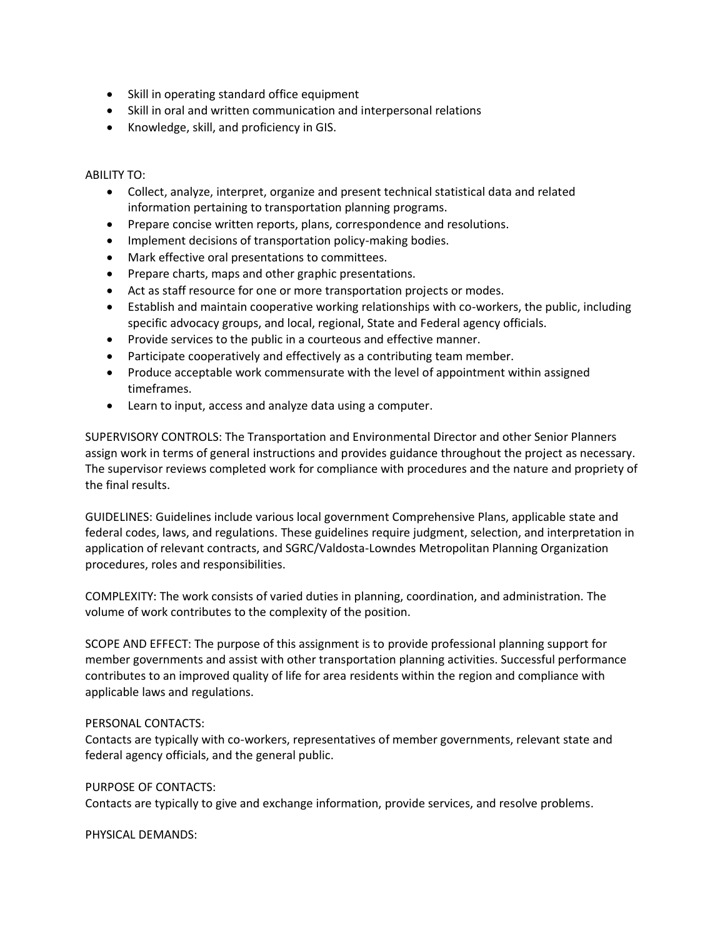- Skill in operating standard office equipment
- Skill in oral and written communication and interpersonal relations
- Knowledge, skill, and proficiency in GIS.

#### ABILITY TO:

- Collect, analyze, interpret, organize and present technical statistical data and related information pertaining to transportation planning programs.
- Prepare concise written reports, plans, correspondence and resolutions.
- Implement decisions of transportation policy-making bodies.
- Mark effective oral presentations to committees.
- Prepare charts, maps and other graphic presentations.
- Act as staff resource for one or more transportation projects or modes.
- Establish and maintain cooperative working relationships with co-workers, the public, including specific advocacy groups, and local, regional, State and Federal agency officials.
- Provide services to the public in a courteous and effective manner.
- Participate cooperatively and effectively as a contributing team member.
- Produce acceptable work commensurate with the level of appointment within assigned timeframes.
- Learn to input, access and analyze data using a computer.

SUPERVISORY CONTROLS: The Transportation and Environmental Director and other Senior Planners assign work in terms of general instructions and provides guidance throughout the project as necessary. The supervisor reviews completed work for compliance with procedures and the nature and propriety of the final results.

GUIDELINES: Guidelines include various local government Comprehensive Plans, applicable state and federal codes, laws, and regulations. These guidelines require judgment, selection, and interpretation in application of relevant contracts, and SGRC/Valdosta-Lowndes Metropolitan Planning Organization procedures, roles and responsibilities.

COMPLEXITY: The work consists of varied duties in planning, coordination, and administration. The volume of work contributes to the complexity of the position.

SCOPE AND EFFECT: The purpose of this assignment is to provide professional planning support for member governments and assist with other transportation planning activities. Successful performance contributes to an improved quality of life for area residents within the region and compliance with applicable laws and regulations.

## PERSONAL CONTACTS:

Contacts are typically with co-workers, representatives of member governments, relevant state and federal agency officials, and the general public.

## PURPOSE OF CONTACTS:

Contacts are typically to give and exchange information, provide services, and resolve problems.

PHYSICAL DEMANDS: